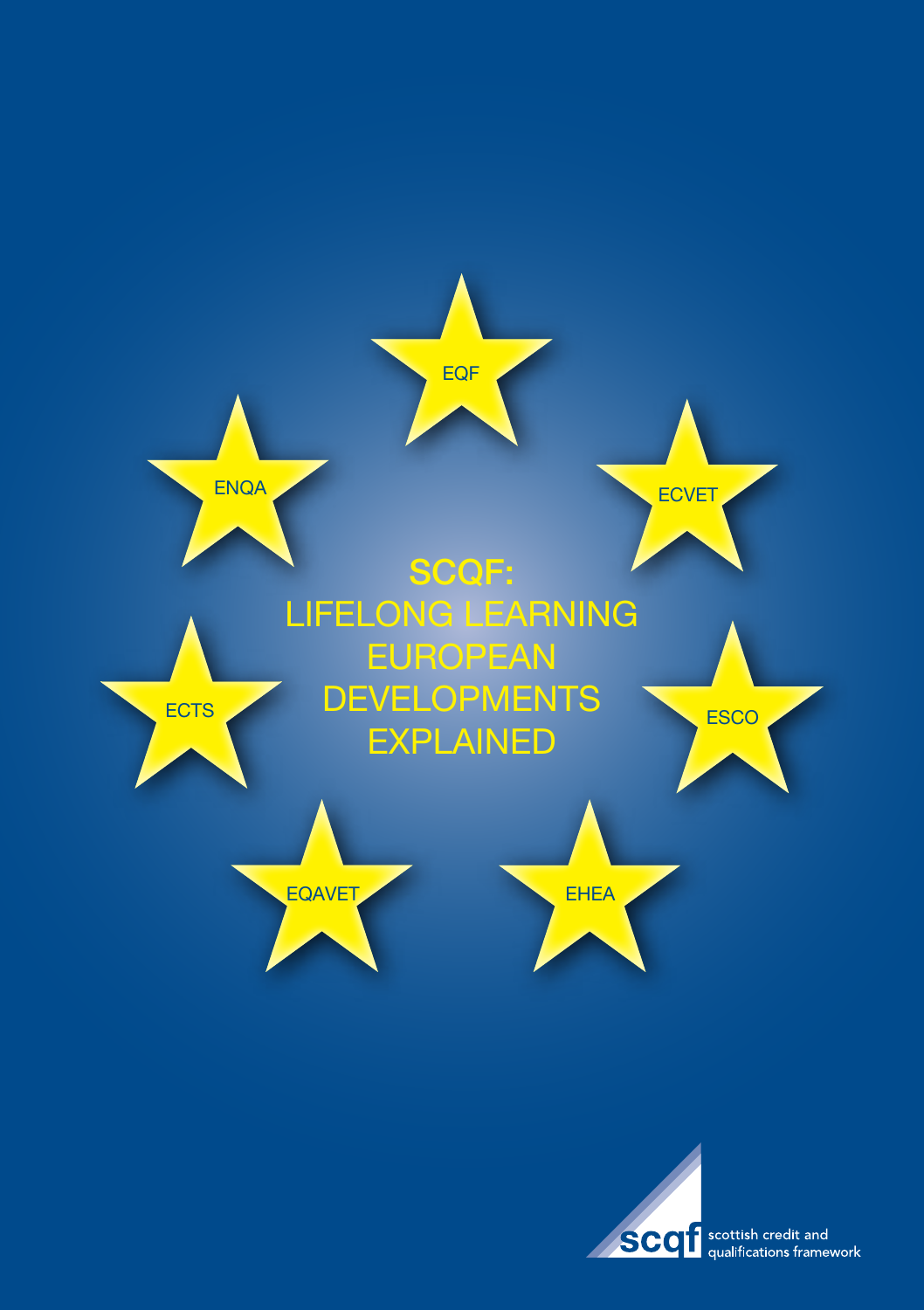



**SCOT** scottish credit and<br>qualifications framework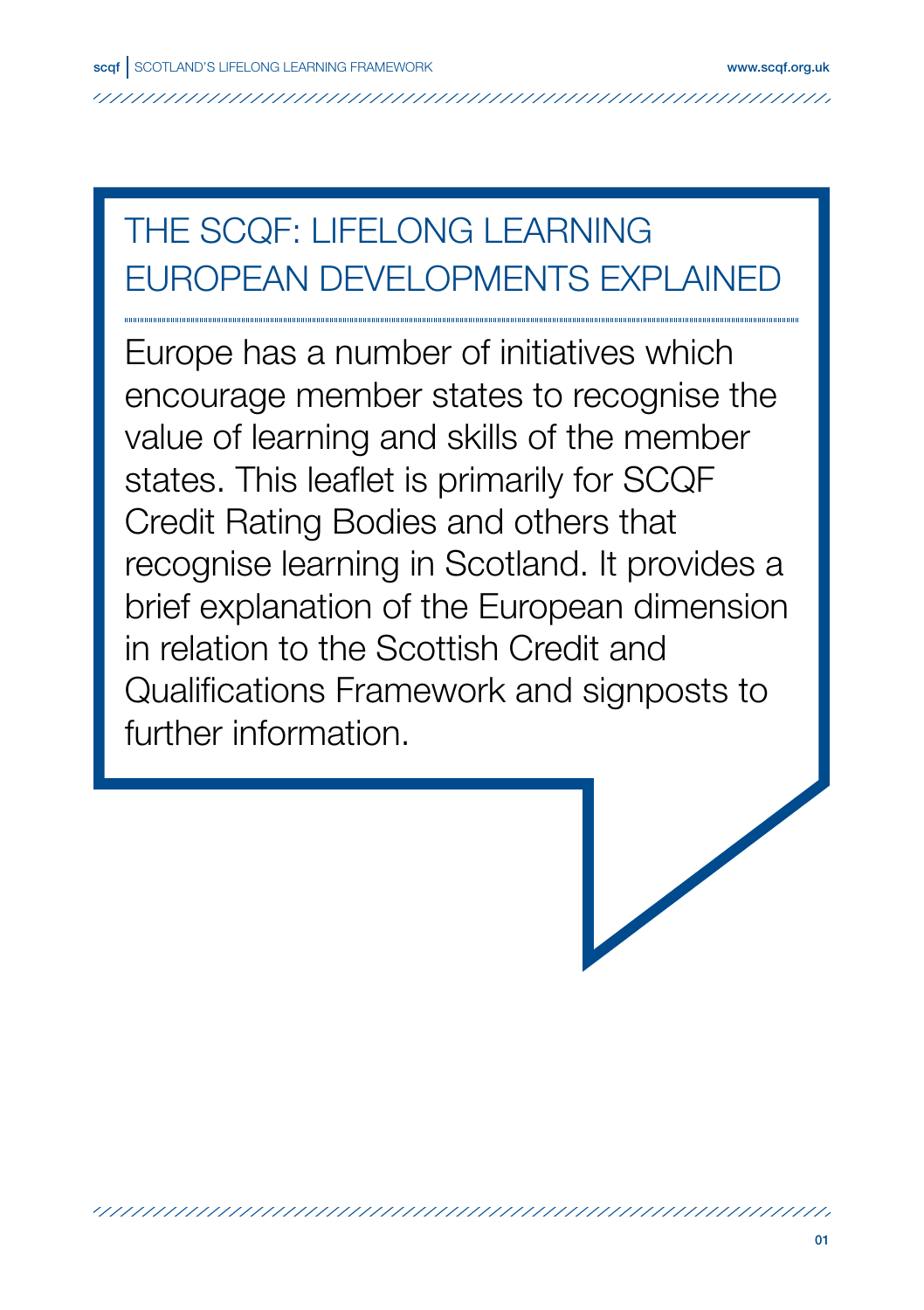# THE SCQF: LIFELONG LEARNING EUROPEAN DEVELOPMENTS EXPLAINED

Europe has a number of initiatives which encourage member states to recognise the value of learning and skills of the member states. This leaflet is primarily for SCQF Credit Rating Bodies and others that recognise learning in Scotland. It provides a brief explanation of the European dimension in relation to the Scottish Credit and Qualifications Framework and signposts to further information.

/////////////////////////////////////////////////////////////////////////////////////////////////////////////////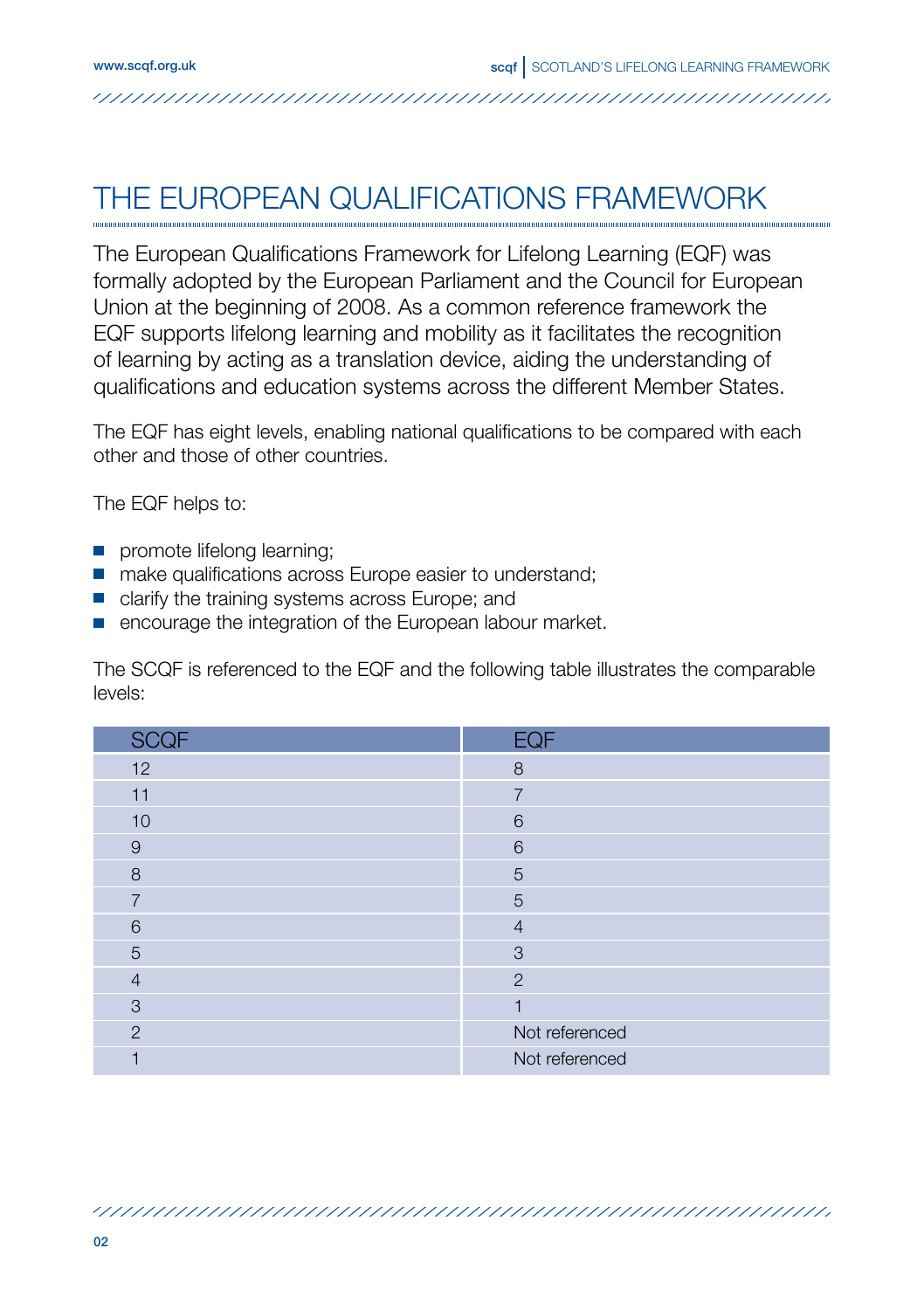#### THE EUROPEAN QUALIFICATIONS FRAMEWORK

The European Qualifications Framework for Lifelong Learning (EQF) was formally adopted by the European Parliament and the Council for European Union at the beginning of 2008. As a common reference framework the EQF supports lifelong learning and mobility as it facilitates the recognition of learning by acting as a translation device, aiding the understanding of qualifications and education systems across the different Member States.

The EQF has eight levels, enabling national qualifications to be compared with each other and those of other countries.

The EQF helps to:

- **promote lifelong learning;**
- make qualifications across Europe easier to understand;
- **clarify the training systems across Europe; and**
- $\blacksquare$  encourage the integration of the European labour market.

The SCQF is referenced to the EQF and the following table illustrates the comparable levels:

| <b>SCQF</b>    | <b>EQF</b>     |
|----------------|----------------|
| 12             | 8              |
| 11             | $\overline{7}$ |
| 10             | 6              |
| $\overline{9}$ | 6              |
| 8              | 5              |
| $\overline{7}$ | 5              |
| 6              | $\overline{4}$ |
| 5              | 3              |
| $\overline{4}$ | $\overline{2}$ |
| 3              |                |
| $\overline{2}$ | Not referenced |
|                | Not referenced |

/////////////////////////////////////////////////////////////////////////////////////////////////////////////////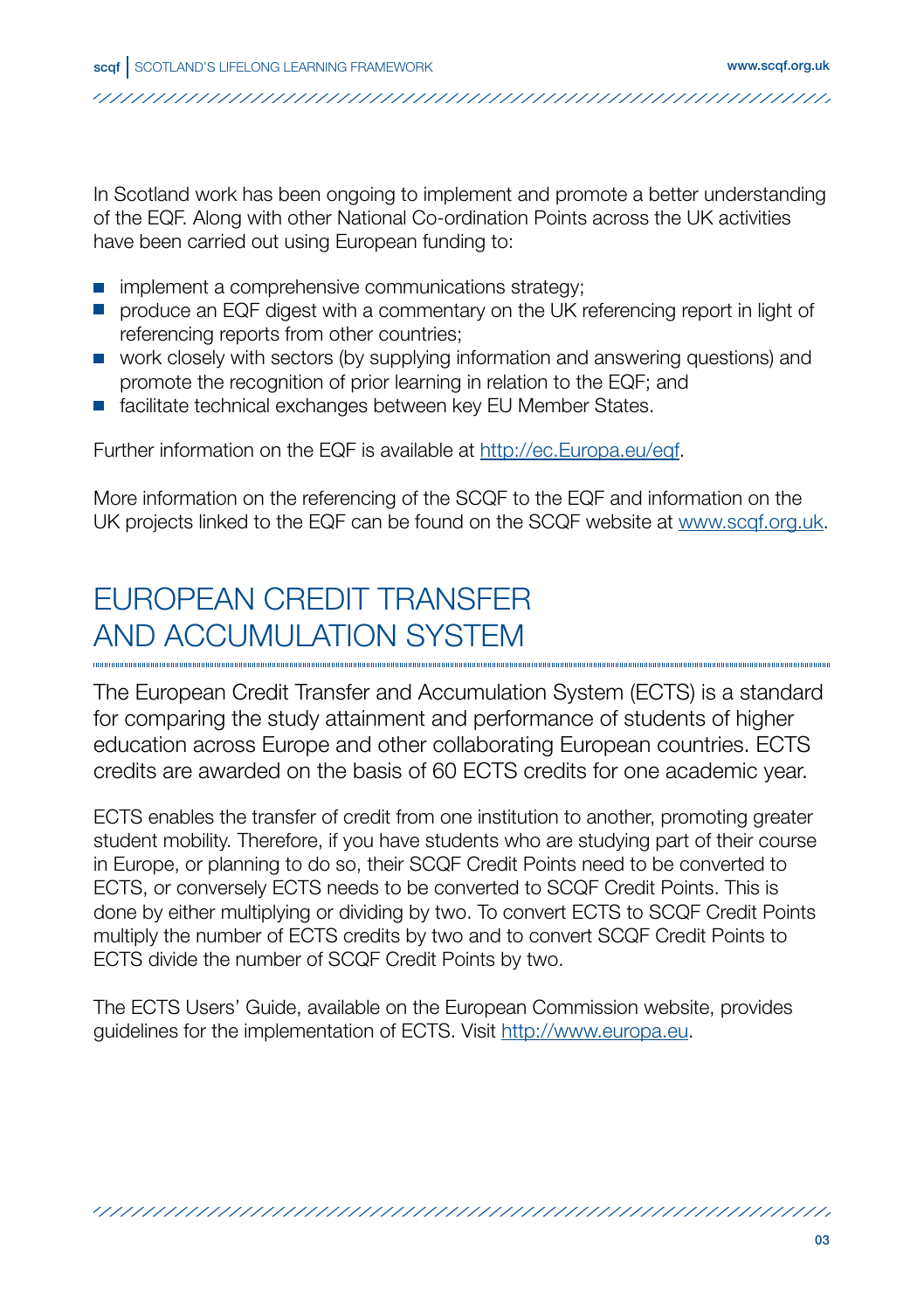In Scotland work has been ongoing to implement and promote a better understanding of the EQF. Along with other National Co-ordination Points across the UK activities have been carried out using European funding to:

- $\blacksquare$  implement a comprehensive communications strategy:
- **•** produce an EQF digest with a commentary on the UK referencing report in light of referencing reports from other countries;
- work closely with sectors (by supplying information and answering questions) and promote the recognition of prior learning in relation to the EQF; and
- **E** facilitate technical exchanges between key EU Member States.

Further information on the EQF is available at http://ec.Europa.eu/eqf.

More information on the referencing of the SCQF to the EQF and information on the UK projects linked to the EQF can be found on the SCQF website at www.scqf.org.uk.

# EUROPEAN CREDIT TRANSFER AND ACCUMULATION SYSTEM

The European Credit Transfer and Accumulation System (ECTS) is a standard for comparing the study attainment and performance of students of higher education across Europe and other collaborating European countries. ECTS credits are awarded on the basis of 60 ECTS credits for one academic year.

ECTS enables the transfer of credit from one institution to another, promoting greater student mobility. Therefore, if you have students who are studying part of their course in Europe, or planning to do so, their SCQF Credit Points need to be converted to ECTS, or conversely ECTS needs to be converted to SCQF Credit Points. This is done by either multiplying or dividing by two. To convert ECTS to SCQF Credit Points multiply the number of ECTS credits by two and to convert SCQF Credit Points to ECTS divide the number of SCQF Credit Points by two.

The ECTS Users' Guide, available on the European Commission website, provides guidelines for the implementation of ECTS. Visit http://www.europa.eu.

/////////////////////////////////////////////////////////////////////////////////////////////////////////////////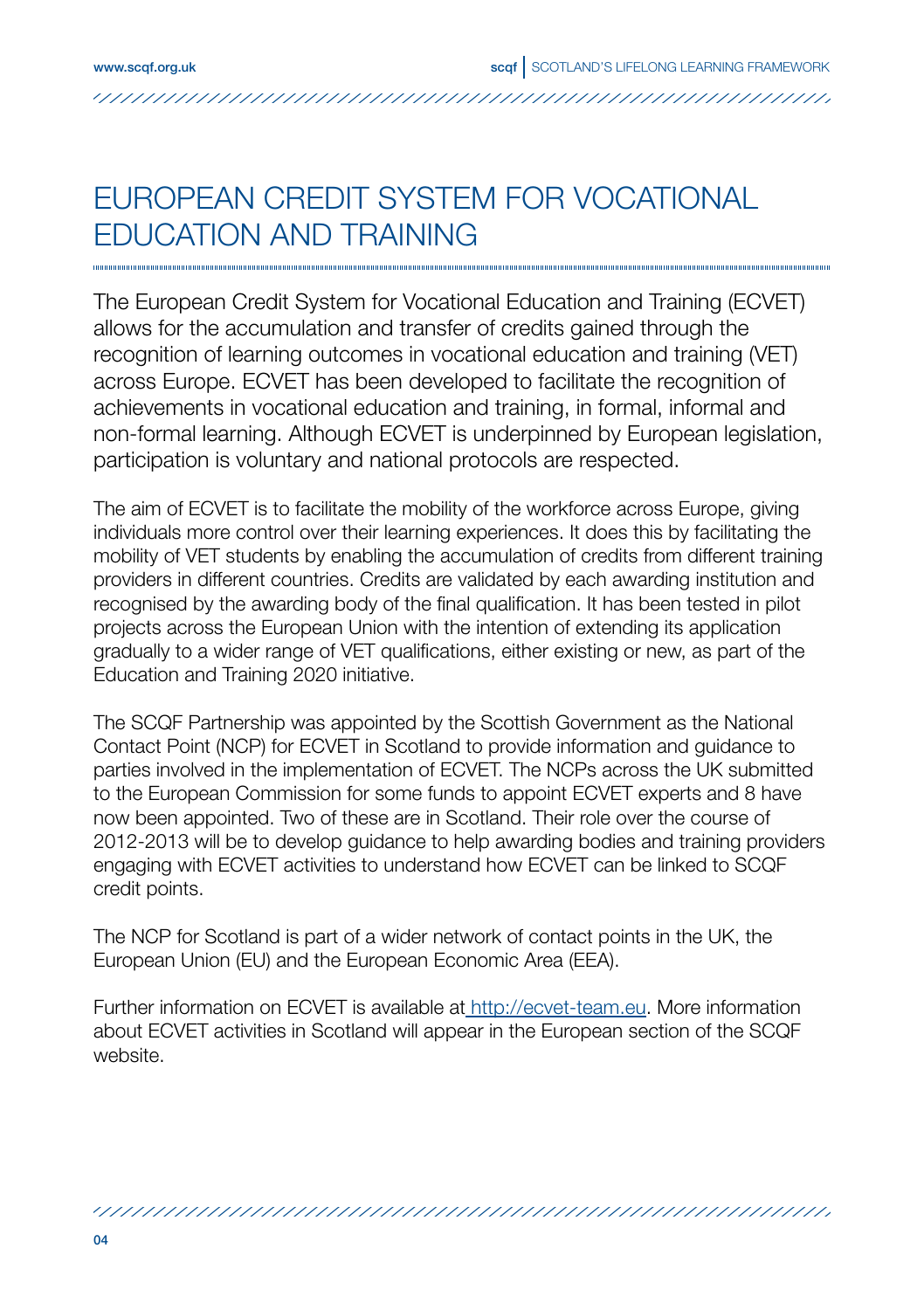#### EUROPEAN CREDIT SYSTEM FOR VOCATIONAL EDUCATION AND TRAINING

The European Credit System for Vocational Education and Training (ECVET) allows for the accumulation and transfer of credits gained through the recognition of learning outcomes in vocational education and training (VET) across Europe. ECVET has been developed to facilitate the recognition of achievements in vocational education and training, in formal, informal and non-formal learning. Although ECVET is underpinned by European legislation, participation is voluntary and national protocols are respected.

The aim of ECVET is to facilitate the mobility of the workforce across Europe, giving individuals more control over their learning experiences. It does this by facilitating the mobility of VET students by enabling the accumulation of credits from different training providers in different countries. Credits are validated by each awarding institution and recognised by the awarding body of the final qualification. It has been tested in pilot projects across the European Union with the intention of extending its application gradually to a wider range of VET qualifications, either existing or new, as part of the Education and Training 2020 initiative.

The SCQF Partnership was appointed by the Scottish Government as the National Contact Point (NCP) for ECVET in Scotland to provide information and guidance to parties involved in the implementation of ECVET. The NCPs across the UK submitted to the European Commission for some funds to appoint ECVET experts and 8 have now been appointed. Two of these are in Scotland. Their role over the course of 2012-2013 will be to develop guidance to help awarding bodies and training providers engaging with ECVET activities to understand how ECVET can be linked to SCQF credit points.

The NCP for Scotland is part of a wider network of contact points in the UK, the European Union (EU) and the European Economic Area (EEA).

Further information on ECVET is available at http://ecvet-team.eu. More information about ECVET activities in Scotland will appear in the European section of the SCQF website.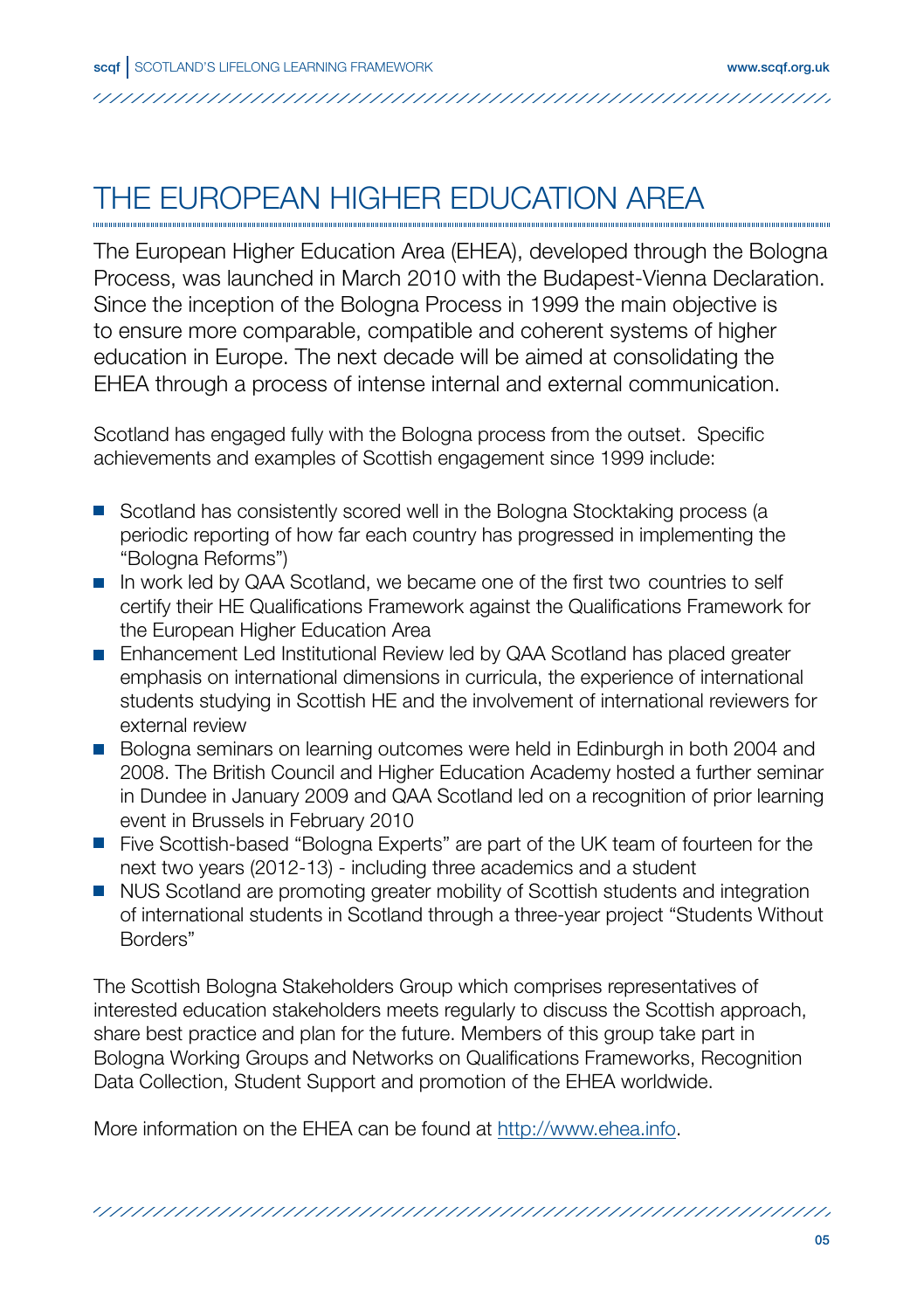# THE EUROPEAN HIGHER EDUCATION AREA

The European Higher Education Area (EHEA), developed through the Bologna Process, was launched in March 2010 with the Budapest-Vienna Declaration. Since the inception of the Bologna Process in 1999 the main objective is to ensure more comparable, compatible and coherent systems of higher education in Europe. The next decade will be aimed at consolidating the EHEA through a process of intense internal and external communication.

Scotland has engaged fully with the Bologna process from the outset. Specific achievements and examples of Scottish engagement since 1999 include:

- **Scotland has consistently scored well in the Bologna Stocktaking process (a** periodic reporting of how far each country has progressed in implementing the "Bologna Reforms")
- In work led by QAA Scotland, we became one of the first two countries to self certify their HE Qualifications Framework against the Qualifications Framework for the European Higher Education Area
- **Enhancement Led Institutional Review led by QAA Scotland has placed greater** emphasis on international dimensions in curricula, the experience of international students studying in Scottish HE and the involvement of international reviewers for external review
- Bologna seminars on learning outcomes were held in Edinburgh in both 2004 and 2008. The British Council and Higher Education Academy hosted a further seminar in Dundee in January 2009 and QAA Scotland led on a recognition of prior learning event in Brussels in February 2010
- **Five Scottish-based "Bologna Experts" are part of the UK team of fourteen for the** next two years (2012-13) - including three academics and a student
- **NUS Scotland are promoting greater mobility of Scottish students and integration** of international students in Scotland through a three-year project "Students Without Borders"

The Scottish Bologna Stakeholders Group which comprises representatives of interested education stakeholders meets regularly to discuss the Scottish approach, share best practice and plan for the future. Members of this group take part in Bologna Working Groups and Networks on Qualifications Frameworks, Recognition Data Collection, Student Support and promotion of the EHEA worldwide.

More information on the EHEA can be found at http://www.ehea.info.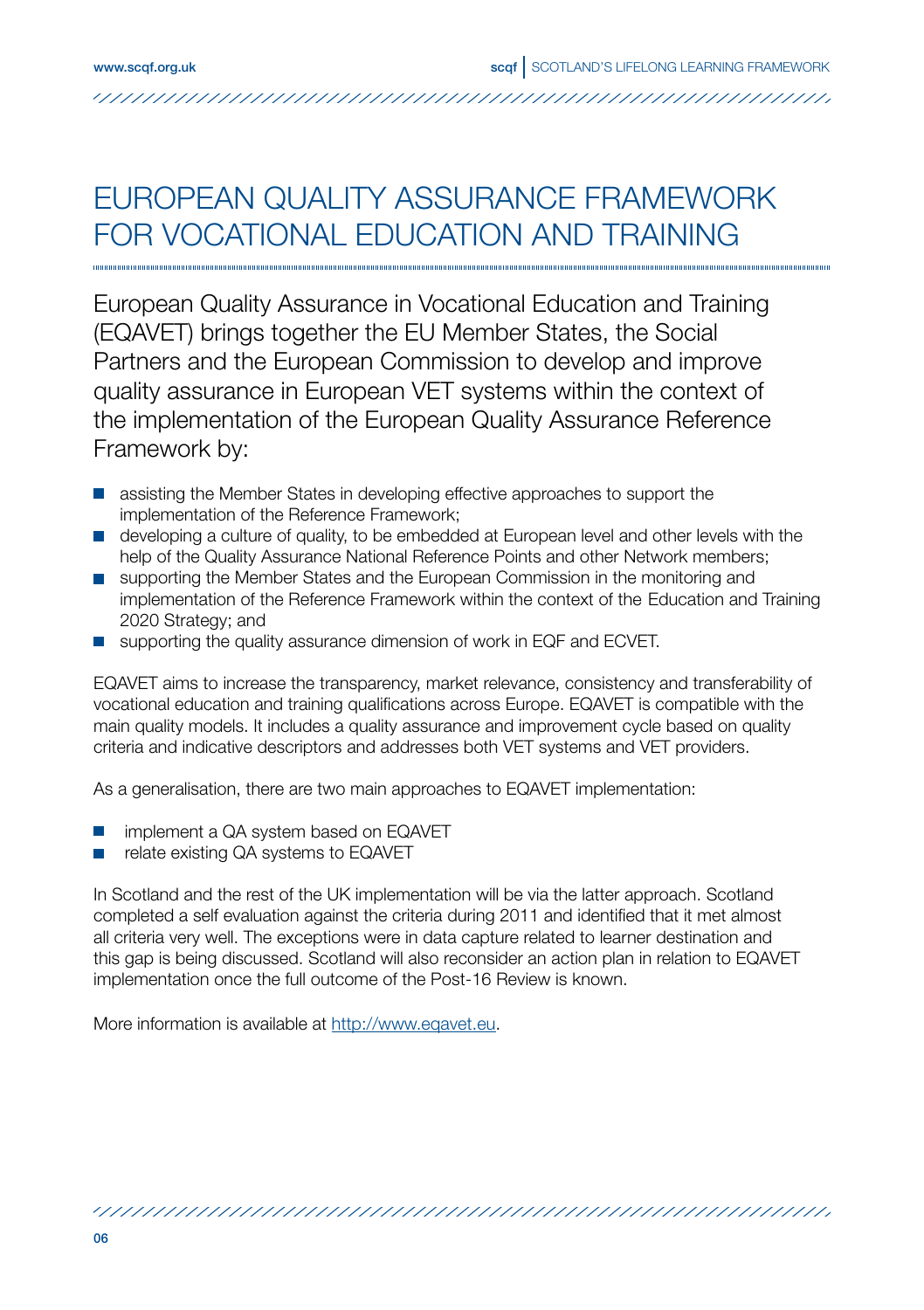### EUROPEAN QUALITY ASSURANCE FRAMEWORK FOR VOCATIONAL EDUCATION AND TRAINING

European Quality Assurance in Vocational Education and Training (EQAVET) brings together the EU Member States, the Social Partners and the European Commission to develop and improve quality assurance in European VET systems within the context of the implementation of the European Quality Assurance Reference Framework by:

- **assisting the Member States in developing effective approaches to support the** implementation of the Reference Framework;
- **developing a culture of quality, to be embedded at European level and other levels with the** help of the Quality Assurance National Reference Points and other Network members;
- **supporting the Member States and the European Commission in the monitoring and** implementation of the Reference Framework within the context of the Education and Training 2020 Strategy; and
- **E** supporting the quality assurance dimension of work in EQF and ECVET.

EQAVET aims to increase the transparency, market relevance, consistency and transferability of vocational education and training qualifications across Europe. EQAVET is compatible with the main quality models. It includes a quality assurance and improvement cycle based on quality criteria and indicative descriptors and addresses both VET systems and VET providers.

As a generalisation, there are two main approaches to EQAVET implementation:

- implement a QA system based on EQAVET
- relate existing QA systems to EQAVET

In Scotland and the rest of the UK implementation will be via the latter approach. Scotland completed a self evaluation against the criteria during 2011 and identified that it met almost all criteria very well. The exceptions were in data capture related to learner destination and this gap is being discussed. Scotland will also reconsider an action plan in relation to EQAVET implementation once the full outcome of the Post-16 Review is known.

More information is available at http://www.eqavet.eu.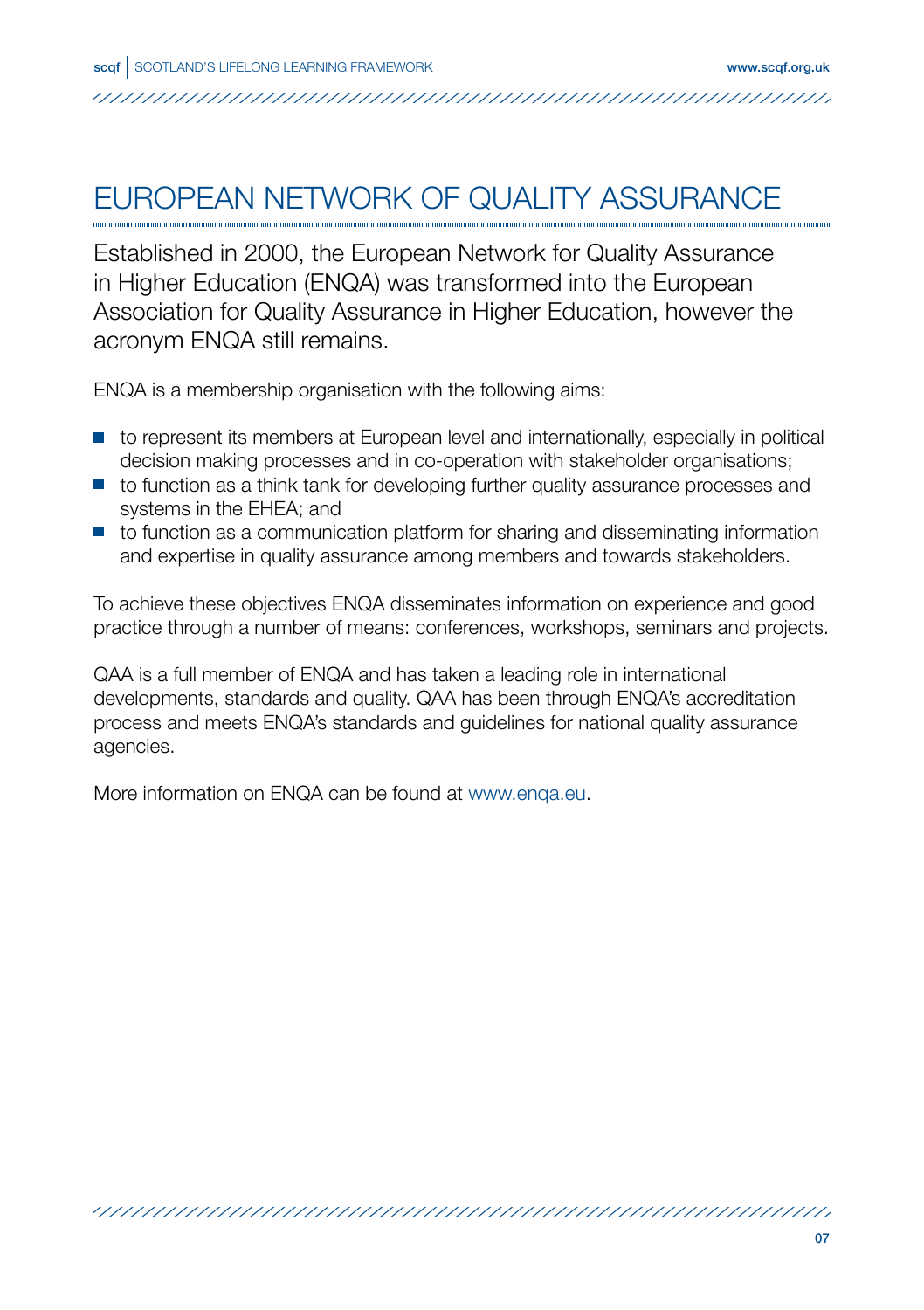# EUROPEAN NETWORK OF QUALITY ASSURANCE

Established in 2000, the European Network for Quality Assurance in Higher Education (ENQA) was transformed into the European Association for Quality Assurance in Higher Education, however the acronym ENQA still remains.

ENQA is a membership organisation with the following aims:

- **to represent its members at European level and internationally, especially in political** decision making processes and in co-operation with stakeholder organisations;
- $\blacksquare$  to function as a think tank for developing further quality assurance processes and systems in the EHEA; and
- $\blacksquare$  to function as a communication platform for sharing and disseminating information and expertise in quality assurance among members and towards stakeholders.

To achieve these objectives ENQA disseminates information on experience and good practice through a number of means: conferences, workshops, seminars and projects.

QAA is a full member of ENQA and has taken a leading role in international developments, standards and quality. QAA has been through ENQA's accreditation process and meets ENQA's standards and guidelines for national quality assurance agencies.

/////////////////////////////////////////////////////////////////////////////////////////////////////////////////

More information on ENQA can be found at www.enqa.eu.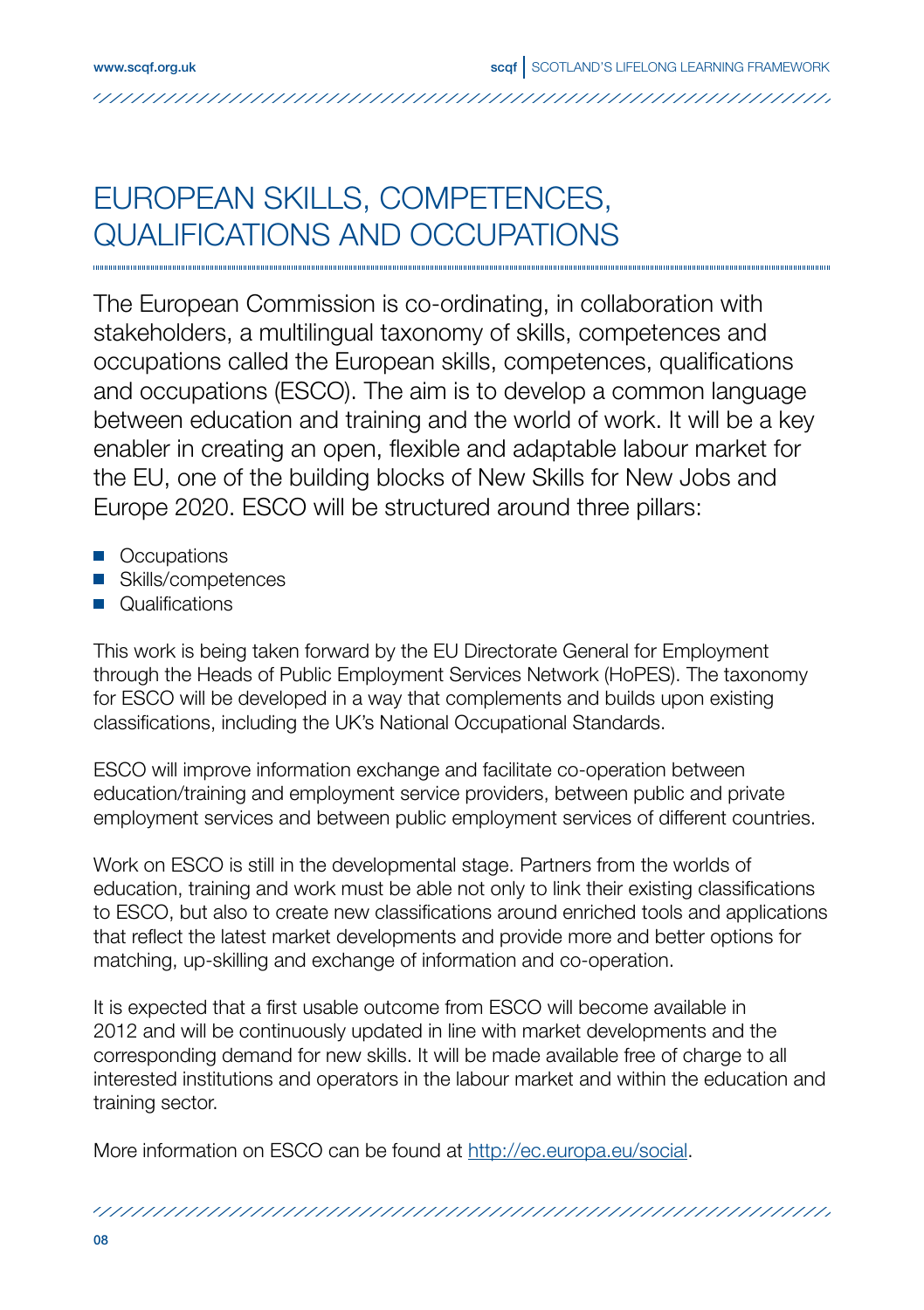### EUROPEAN SKILLS, COMPETENCES, QUALIFICATIONS AND OCCUPATIONS

The European Commission is co-ordinating, in collaboration with stakeholders, a multilingual taxonomy of skills, competences and occupations called the European skills, competences, qualifications and occupations (ESCO). The aim is to develop a common language between education and training and the world of work. It will be a key enabler in creating an open, flexible and adaptable labour market for the EU, one of the building blocks of New Skills for New Jobs and Europe 2020. ESCO will be structured around three pillars:

- **Occupations**
- Skills/competences
- **Qualifications**

This work is being taken forward by the EU Directorate General for Employment through the Heads of Public Employment Services Network (HoPES). The taxonomy for ESCO will be developed in a way that complements and builds upon existing classifications, including the UK's National Occupational Standards.

ESCO will improve information exchange and facilitate co-operation between education/training and employment service providers, between public and private employment services and between public employment services of different countries.

Work on ESCO is still in the developmental stage. Partners from the worlds of education, training and work must be able not only to link their existing classifications to ESCO, but also to create new classifications around enriched tools and applications that reflect the latest market developments and provide more and better options for matching, up-skilling and exchange of information and co-operation.

It is expected that a first usable outcome from ESCO will become available in 2012 and will be continuously updated in line with market developments and the corresponding demand for new skills. It will be made available free of charge to all interested institutions and operators in the labour market and within the education and training sector.

More information on ESCO can be found at http://ec.europa.eu/social.